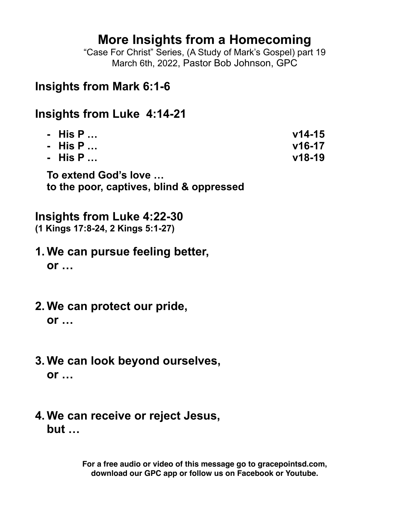# **More Insights from a Homecoming**

"Case For Christ" Series, (A Study of Mark's Gospel) part 19 March 6th, 2022, Pastor Bob Johnson, GPC

## **Insights from Mark 6:1-6**

## **Insights from Luke 4:14-21**

| - His P   | $V14-15$ |
|-----------|----------|
| - His P   | $v16-17$ |
| - His P … | $V18-19$ |
|           |          |

**To extend God's love … to the poor, captives, blind & oppressed**

## **Insights from Luke 4:22-30**

**(1 Kings 17:8-24, 2 Kings 5:1-27)**

- **1. We can pursue feeling better, or …**
- **2. We can protect our pride, or …**
- **3. We can look beyond ourselves, or …**
- **4. We can receive or reject Jesus, but …**

**For a free audio or video of this message go to gracepointsd.com, download our GPC app or follow us on Facebook or Youtube.**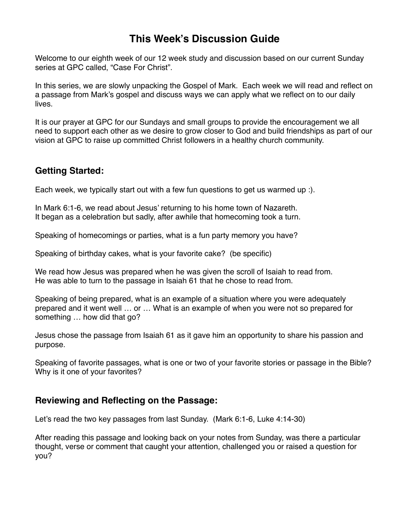## **This Week's Discussion Guide**

Welcome to our eighth week of our 12 week study and discussion based on our current Sunday series at GPC called, "Case For Christ".

In this series, we are slowly unpacking the Gospel of Mark. Each week we will read and reflect on a passage from Mark's gospel and discuss ways we can apply what we reflect on to our daily lives.

It is our prayer at GPC for our Sundays and small groups to provide the encouragement we all need to support each other as we desire to grow closer to God and build friendships as part of our vision at GPC to raise up committed Christ followers in a healthy church community.

### **Getting Started:**

Each week, we typically start out with a few fun questions to get us warmed up :).

In Mark 6:1-6, we read about Jesus' returning to his home town of Nazareth. It began as a celebration but sadly, after awhile that homecoming took a turn.

Speaking of homecomings or parties, what is a fun party memory you have?

Speaking of birthday cakes, what is your favorite cake? (be specific)

We read how Jesus was prepared when he was given the scroll of Isaiah to read from. He was able to turn to the passage in Isaiah 61 that he chose to read from.

Speaking of being prepared, what is an example of a situation where you were adequately prepared and it went well … or … What is an example of when you were not so prepared for something … how did that go?

Jesus chose the passage from Isaiah 61 as it gave him an opportunity to share his passion and purpose.

Speaking of favorite passages, what is one or two of your favorite stories or passage in the Bible? Why is it one of your favorites?

### **Reviewing and Reflecting on the Passage:**

Let's read the two key passages from last Sunday. (Mark 6:1-6, Luke 4:14-30)

After reading this passage and looking back on your notes from Sunday, was there a particular thought, verse or comment that caught your attention, challenged you or raised a question for you?